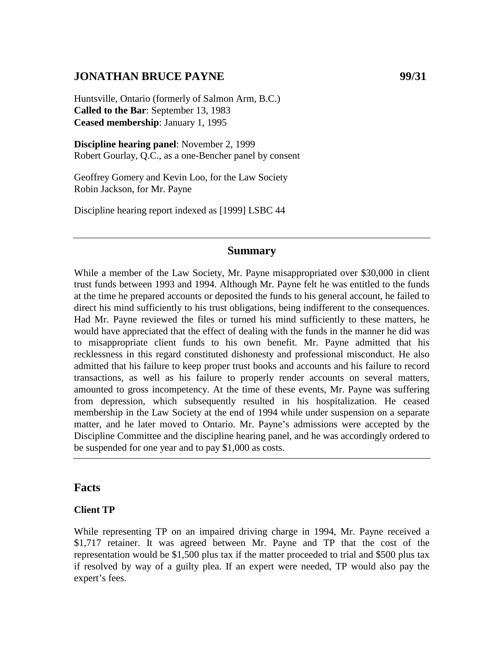# **JONATHAN BRUCE PAYNE 99/31**

Huntsville, Ontario (formerly of Salmon Arm, B.C.) **Called to the Bar**: September 13, 1983 **Ceased membership**: January 1, 1995

**Discipline hearing panel**: November 2, 1999 Robert Gourlay, Q.C., as a one-Bencher panel by consent

Geoffrey Gomery and Kevin Loo, for the Law Society Robin Jackson, for Mr. Payne

Discipline hearing report indexed as [1999] LSBC 44

#### **Summary**

While a member of the Law Society, Mr. Payne misappropriated over \$30,000 in client trust funds between 1993 and 1994. Although Mr. Payne felt he was entitled to the funds at the time he prepared accounts or deposited the funds to his general account, he failed to direct his mind sufficiently to his trust obligations, being indifferent to the consequences. Had Mr. Payne reviewed the files or turned his mind sufficiently to these matters, he would have appreciated that the effect of dealing with the funds in the manner he did was to misappropriate client funds to his own benefit. Mr. Payne admitted that his recklessness in this regard constituted dishonesty and professional misconduct. He also admitted that his failure to keep proper trust books and accounts and his failure to record transactions, as well as his failure to properly render accounts on several matters, amounted to gross incompetency. At the time of these events, Mr. Payne was suffering from depression, which subsequently resulted in his hospitalization. He ceased membership in the Law Society at the end of 1994 while under suspension on a separate matter, and he later moved to Ontario. Mr. Payne's admissions were accepted by the Discipline Committee and the discipline hearing panel, and he was accordingly ordered to be suspended for one year and to pay \$1,000 as costs.

#### **Facts**

#### **Client TP**

While representing TP on an impaired driving charge in 1994, Mr. Payne received a \$1,717 retainer. It was agreed between Mr. Payne and TP that the cost of the representation would be \$1,500 plus tax if the matter proceeded to trial and \$500 plus tax if resolved by way of a guilty plea. If an expert were needed, TP would also pay the expert's fees.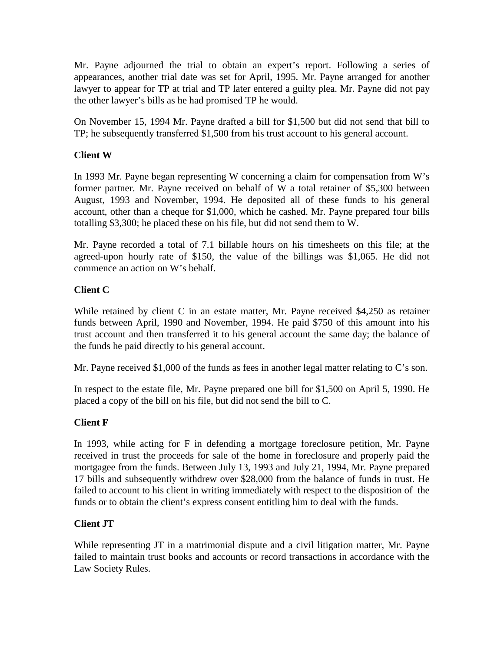Mr. Payne adjourned the trial to obtain an expert's report. Following a series of appearances, another trial date was set for April, 1995. Mr. Payne arranged for another lawyer to appear for TP at trial and TP later entered a guilty plea. Mr. Payne did not pay the other lawyer's bills as he had promised TP he would.

On November 15, 1994 Mr. Payne drafted a bill for \$1,500 but did not send that bill to TP; he subsequently transferred \$1,500 from his trust account to his general account.

### **Client W**

In 1993 Mr. Payne began representing W concerning a claim for compensation from W's former partner. Mr. Payne received on behalf of W a total retainer of \$5,300 between August, 1993 and November, 1994. He deposited all of these funds to his general account, other than a cheque for \$1,000, which he cashed. Mr. Payne prepared four bills totalling \$3,300; he placed these on his file, but did not send them to W.

Mr. Payne recorded a total of 7.1 billable hours on his timesheets on this file; at the agreed-upon hourly rate of \$150, the value of the billings was \$1,065. He did not commence an action on W's behalf.

#### **Client C**

While retained by client C in an estate matter, Mr. Payne received \$4,250 as retainer funds between April, 1990 and November, 1994. He paid \$750 of this amount into his trust account and then transferred it to his general account the same day; the balance of the funds he paid directly to his general account.

Mr. Payne received \$1,000 of the funds as fees in another legal matter relating to C's son.

In respect to the estate file, Mr. Payne prepared one bill for \$1,500 on April 5, 1990. He placed a copy of the bill on his file, but did not send the bill to C.

#### **Client F**

In 1993, while acting for F in defending a mortgage foreclosure petition, Mr. Payne received in trust the proceeds for sale of the home in foreclosure and properly paid the mortgagee from the funds. Between July 13, 1993 and July 21, 1994, Mr. Payne prepared 17 bills and subsequently withdrew over \$28,000 from the balance of funds in trust. He failed to account to his client in writing immediately with respect to the disposition of the funds or to obtain the client's express consent entitling him to deal with the funds.

#### **Client JT**

While representing JT in a matrimonial dispute and a civil litigation matter, Mr. Payne failed to maintain trust books and accounts or record transactions in accordance with the Law Society Rules.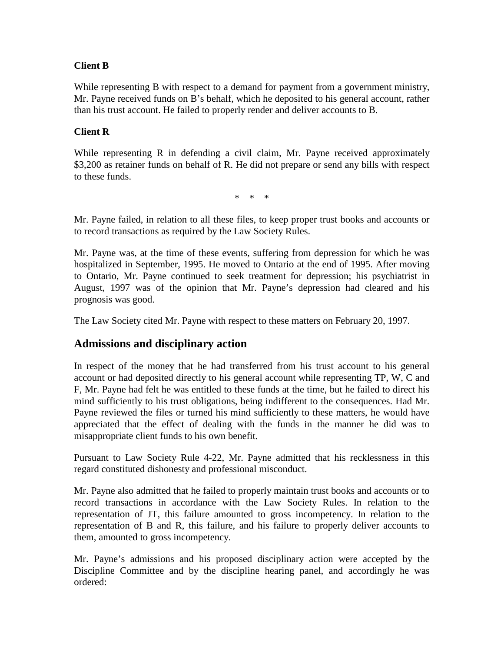### **Client B**

While representing B with respect to a demand for payment from a government ministry, Mr. Payne received funds on B's behalf, which he deposited to his general account, rather than his trust account. He failed to properly render and deliver accounts to B.

### **Client R**

While representing R in defending a civil claim, Mr. Payne received approximately \$3,200 as retainer funds on behalf of R. He did not prepare or send any bills with respect to these funds.

\* \* \*

Mr. Payne failed, in relation to all these files, to keep proper trust books and accounts or to record transactions as required by the Law Society Rules.

Mr. Payne was, at the time of these events, suffering from depression for which he was hospitalized in September, 1995. He moved to Ontario at the end of 1995. After moving to Ontario, Mr. Payne continued to seek treatment for depression; his psychiatrist in August, 1997 was of the opinion that Mr. Payne's depression had cleared and his prognosis was good.

The Law Society cited Mr. Payne with respect to these matters on February 20, 1997.

## **Admissions and disciplinary action**

In respect of the money that he had transferred from his trust account to his general account or had deposited directly to his general account while representing TP, W, C and F, Mr. Payne had felt he was entitled to these funds at the time, but he failed to direct his mind sufficiently to his trust obligations, being indifferent to the consequences. Had Mr. Payne reviewed the files or turned his mind sufficiently to these matters, he would have appreciated that the effect of dealing with the funds in the manner he did was to misappropriate client funds to his own benefit.

Pursuant to Law Society Rule 4-22, Mr. Payne admitted that his recklessness in this regard constituted dishonesty and professional misconduct.

Mr. Payne also admitted that he failed to properly maintain trust books and accounts or to record transactions in accordance with the Law Society Rules. In relation to the representation of JT, this failure amounted to gross incompetency. In relation to the representation of B and R, this failure, and his failure to properly deliver accounts to them, amounted to gross incompetency.

Mr. Payne's admissions and his proposed disciplinary action were accepted by the Discipline Committee and by the discipline hearing panel, and accordingly he was ordered: